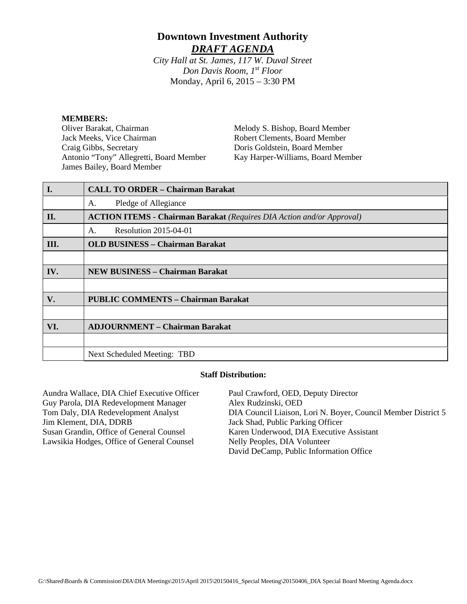# **Downtown Investment Authority** *DRAFT AGENDA*

*City Hall at St. James, 117 W. Duval Street Don Davis Room, 1st Floor*  Monday, April 6, 2015 – 3:30 PM

#### **MEMBERS:**

Oliver Barakat, Chairman Jack Meeks, Vice Chairman Craig Gibbs, Secretary Antonio "Tony" Allegretti, Board Member James Bailey, Board Member

Melody S. Bishop, Board Member Robert Clements, Board Member Doris Goldstein, Board Member Kay Harper-Williams, Board Member

| I.   | <b>CALL TO ORDER - Chairman Barakat</b>                                      |
|------|------------------------------------------------------------------------------|
|      | Pledge of Allegiance<br>А.                                                   |
| II.  | <b>ACTION ITEMS - Chairman Barakat</b> (Requires DIA Action and/or Approval) |
|      | Resolution 2015-04-01<br>Α.                                                  |
| III. | <b>OLD BUSINESS - Chairman Barakat</b>                                       |
|      |                                                                              |
| IV.  | <b>NEW BUSINESS - Chairman Barakat</b>                                       |
|      |                                                                              |
| V.   | <b>PUBLIC COMMENTS - Chairman Barakat</b>                                    |
|      |                                                                              |
| VI.  | <b>ADJOURNMENT - Chairman Barakat</b>                                        |
|      |                                                                              |
|      | <b>Next Scheduled Meeting: TBD</b>                                           |

### **Staff Distribution:**

Aundra Wallace, DIA Chief Executive Officer Guy Parola, DIA Redevelopment Manager Tom Daly, DIA Redevelopment Analyst Jim Klement, DIA, DDRB Susan Grandin, Office of General Counsel Lawsikia Hodges, Office of General Counsel Paul Crawford, OED, Deputy Director Alex Rudzinski, OED DIA Council Liaison, Lori N. Boyer, Council Member District 5 Jack Shad, Public Parking Officer Karen Underwood, DIA Executive Assistant Nelly Peoples, DIA Volunteer David DeCamp, Public Information Office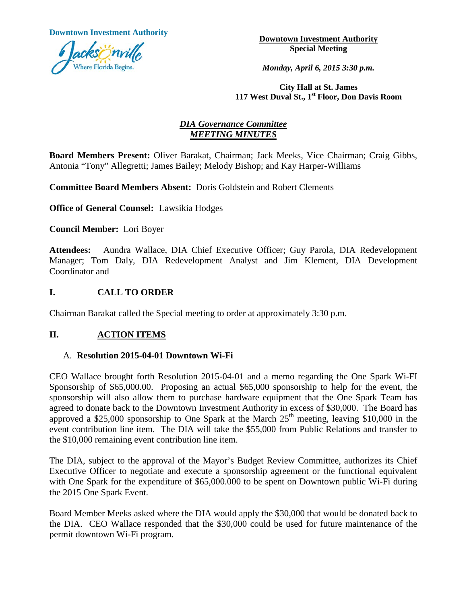**Downtown Investment Authority Downtown Investment Authority** 



**Special Meeting**

*Monday, April 6, 2015 3:30 p.m.*

**City Hall at St. James 117 West Duval St., 1st Floor, Don Davis Room**

# *DIA Governance Committee MEETING MINUTES*

**Board Members Present:** Oliver Barakat, Chairman; Jack Meeks, Vice Chairman; Craig Gibbs, Antonia "Tony" Allegretti; James Bailey; Melody Bishop; and Kay Harper-Williams

**Committee Board Members Absent:** Doris Goldstein and Robert Clements

**Office of General Counsel:** Lawsikia Hodges

**Council Member:** Lori Boyer

**Attendees:** Aundra Wallace, DIA Chief Executive Officer; Guy Parola, DIA Redevelopment Manager; Tom Daly, DIA Redevelopment Analyst and Jim Klement, DIA Development Coordinator and

# **I. CALL TO ORDER**

Chairman Barakat called the Special meeting to order at approximately 3:30 p.m.

# **II. ACTION ITEMS**

## A. **Resolution 2015-04-01 Downtown Wi-Fi**

CEO Wallace brought forth Resolution 2015-04-01 and a memo regarding the One Spark Wi-FI Sponsorship of \$65,000.00. Proposing an actual \$65,000 sponsorship to help for the event, the sponsorship will also allow them to purchase hardware equipment that the One Spark Team has agreed to donate back to the Downtown Investment Authority in excess of \$30,000. The Board has approved a \$25,000 sponsorship to One Spark at the March  $25<sup>th</sup>$  meeting, leaving \$10,000 in the event contribution line item. The DIA will take the \$55,000 from Public Relations and transfer to the \$10,000 remaining event contribution line item.

The DIA, subject to the approval of the Mayor's Budget Review Committee, authorizes its Chief Executive Officer to negotiate and execute a sponsorship agreement or the functional equivalent with One Spark for the expenditure of \$65,000.000 to be spent on Downtown public Wi-Fi during the 2015 One Spark Event.

Board Member Meeks asked where the DIA would apply the \$30,000 that would be donated back to the DIA. CEO Wallace responded that the \$30,000 could be used for future maintenance of the permit downtown Wi-Fi program.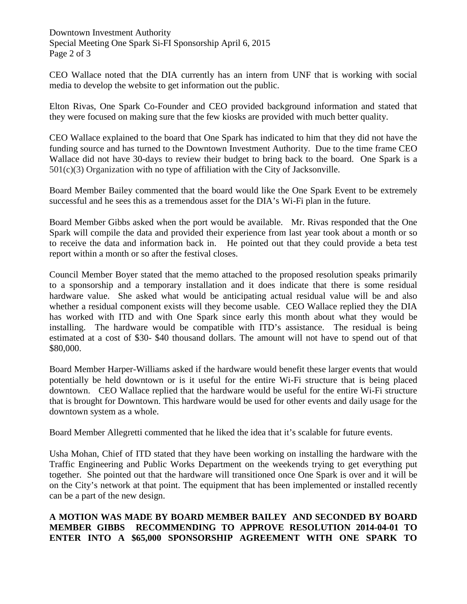Downtown Investment Authority Special Meeting One Spark Si-FI Sponsorship April 6, 2015 Page 2 of 3

CEO Wallace noted that the DIA currently has an intern from UNF that is working with social media to develop the website to get information out the public.

Elton Rivas, One Spark Co-Founder and CEO provided background information and stated that they were focused on making sure that the few kiosks are provided with much better quality.

CEO Wallace explained to the board that One Spark has indicated to him that they did not have the funding source and has turned to the Downtown Investment Authority. Due to the time frame CEO Wallace did not have 30-days to review their budget to bring back to the board. One Spark is a  $501(c)(3)$  Organization with no type of affiliation with the City of Jacksonville.

Board Member Bailey commented that the board would like the One Spark Event to be extremely successful and he sees this as a tremendous asset for the DIA's Wi-Fi plan in the future.

Board Member Gibbs asked when the port would be available. Mr. Rivas responded that the One Spark will compile the data and provided their experience from last year took about a month or so to receive the data and information back in. He pointed out that they could provide a beta test report within a month or so after the festival closes.

Council Member Boyer stated that the memo attached to the proposed resolution speaks primarily to a sponsorship and a temporary installation and it does indicate that there is some residual hardware value. She asked what would be anticipating actual residual value will be and also whether a residual component exists will they become usable. CEO Wallace replied they the DIA has worked with ITD and with One Spark since early this month about what they would be installing. The hardware would be compatible with ITD's assistance. The residual is being estimated at a cost of \$30- \$40 thousand dollars. The amount will not have to spend out of that \$80,000.

Board Member Harper-Williams asked if the hardware would benefit these larger events that would potentially be held downtown or is it useful for the entire Wi-Fi structure that is being placed downtown. CEO Wallace replied that the hardware would be useful for the entire Wi-Fi structure that is brought for Downtown. This hardware would be used for other events and daily usage for the downtown system as a whole.

Board Member Allegretti commented that he liked the idea that it's scalable for future events.

Usha Mohan, Chief of ITD stated that they have been working on installing the hardware with the Traffic Engineering and Public Works Department on the weekends trying to get everything put together. She pointed out that the hardware will transitioned once One Spark is over and it will be on the City's network at that point. The equipment that has been implemented or installed recently can be a part of the new design.

**A MOTION WAS MADE BY BOARD MEMBER BAILEY AND SECONDED BY BOARD MEMBER GIBBS RECOMMENDING TO APPROVE RESOLUTION 2014-04-01 TO ENTER INTO A \$65,000 SPONSORSHIP AGREEMENT WITH ONE SPARK TO**